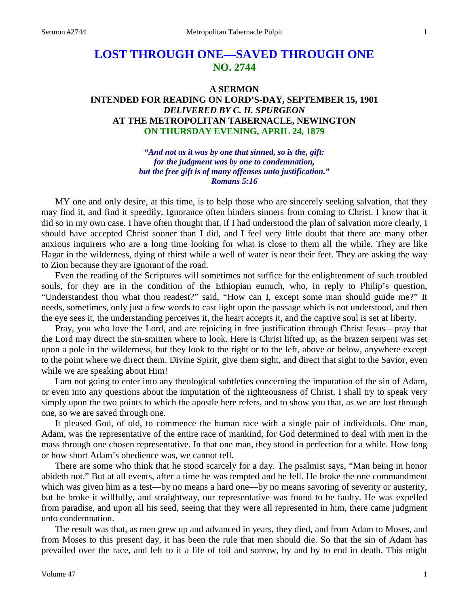# **LOST THROUGH ONE—SAVED THROUGH ONE NO. 2744**

# **A SERMON INTENDED FOR READING ON LORD'S-DAY, SEPTEMBER 15, 1901** *DELIVERED BY C. H. SPURGEON* **AT THE METROPOLITAN TABERNACLE, NEWINGTON ON THURSDAY EVENING, APRIL 24, 1879**

*"And not as it was by one that sinned, so is the, gift: for the judgment was by one to condemnation, but the free gift is of many offenses unto justification." Romans 5:16*

MY one and only desire, at this time, is to help those who are sincerely seeking salvation, that they may find it, and find it speedily. Ignorance often hinders sinners from coming to Christ. I know that it did so in my own case. I have often thought that, if I had understood the plan of salvation more clearly, I should have accepted Christ sooner than I did, and I feel very little doubt that there are many other anxious inquirers who are a long time looking for what is close to them all the while. They are like Hagar in the wilderness, dying of thirst while a well of water is near their feet. They are asking the way to Zion because they are ignorant of the road.

Even the reading of the Scriptures will sometimes not suffice for the enlightenment of such troubled souls, for they are in the condition of the Ethiopian eunuch, who, in reply to Philip's question, "Understandest thou what thou readest?" said, "How can I, except some man should guide me?" It needs, sometimes, only just a few words to cast light upon the passage which is not understood, and then the eye sees it, the understanding perceives it, the heart accepts it, and the captive soul is set at liberty.

Pray, you who love the Lord, and are rejoicing in free justification through Christ Jesus—pray that the Lord may direct the sin-smitten where to look. Here is Christ lifted up, as the brazen serpent was set upon a pole in the wilderness, but they look to the right or to the left, above or below, anywhere except to the point where we direct them. Divine Spirit, give them sight, and direct that sight to the Savior, even while we are speaking about Him!

I am not going to enter into any theological subtleties concerning the imputation of the sin of Adam, or even into any questions about the imputation of the righteousness of Christ. I shall try to speak very simply upon the two points to which the apostle here refers, and to show you that, as we are lost through one, so we are saved through one.

It pleased God, of old, to commence the human race with a single pair of individuals. One man, Adam, was the representative of the entire race of mankind, for God determined to deal with men in the mass through one chosen representative. In that one man, they stood in perfection for a while. How long or how short Adam's obedience was, we cannot tell.

There are some who think that he stood scarcely for a day. The psalmist says, "Man being in honor abideth not." But at all events, after a time he was tempted and he fell. He broke the one commandment which was given him as a test—by no means a hard one—by no means savoring of severity or austerity, but he broke it willfully, and straightway, our representative was found to be faulty. He was expelled from paradise, and upon all his seed, seeing that they were all represented in him, there came judgment unto condemnation.

The result was that, as men grew up and advanced in years, they died, and from Adam to Moses, and from Moses to this present day, it has been the rule that men should die. So that the sin of Adam has prevailed over the race, and left to it a life of toil and sorrow, by and by to end in death. This might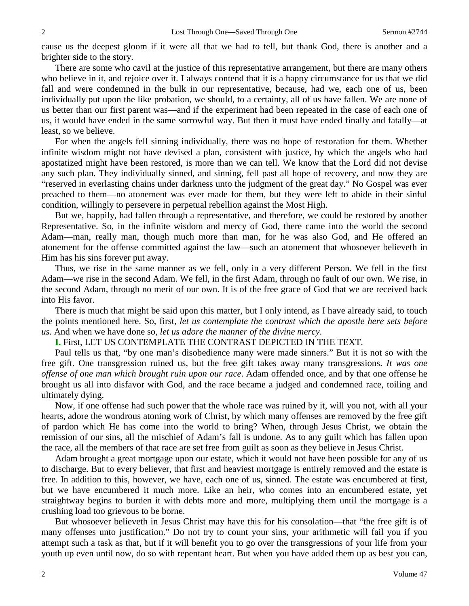cause us the deepest gloom if it were all that we had to tell, but thank God, there is another and a brighter side to the story.

There are some who cavil at the justice of this representative arrangement, but there are many others who believe in it, and rejoice over it. I always contend that it is a happy circumstance for us that we did fall and were condemned in the bulk in our representative, because, had we, each one of us, been individually put upon the like probation, we should, to a certainty, all of us have fallen. We are none of us better than our first parent was—and if the experiment had been repeated in the case of each one of us, it would have ended in the same sorrowful way. But then it must have ended finally and fatally—at least, so we believe.

For when the angels fell sinning individually, there was no hope of restoration for them. Whether infinite wisdom might not have devised a plan, consistent with justice, by which the angels who had apostatized might have been restored, is more than we can tell. We know that the Lord did not devise any such plan. They individually sinned, and sinning, fell past all hope of recovery, and now they are "reserved in everlasting chains under darkness unto the judgment of the great day." No Gospel was ever preached to them—no atonement was ever made for them, but they were left to abide in their sinful condition, willingly to persevere in perpetual rebellion against the Most High.

But we, happily, had fallen through a representative, and therefore, we could be restored by another Representative. So, in the infinite wisdom and mercy of God, there came into the world the second Adam—man, really man, though much more than man, for he was also God, and He offered an atonement for the offense committed against the law—such an atonement that whosoever believeth in Him has his sins forever put away.

Thus, we rise in the same manner as we fell, only in a very different Person. We fell in the first Adam—we rise in the second Adam. We fell, in the first Adam, through no fault of our own. We rise, in the second Adam, through no merit of our own. It is of the free grace of God that we are received back into His favor.

There is much that might be said upon this matter, but I only intend, as I have already said, to touch the points mentioned here. So, first, *let us contemplate the contrast which the apostle here sets before us*. And when we have done so, *let us adore the manner of the divine mercy*.

**I.** First, LET US CONTEMPLATE THE CONTRAST DEPICTED IN THE TEXT.

Paul tells us that, "by one man's disobedience many were made sinners." But it is not so with the free gift. One transgression ruined us, but the free gift takes away many transgressions. *It was one offense of one man which brought ruin upon our race*. Adam offended once, and by that one offense he brought us all into disfavor with God, and the race became a judged and condemned race, toiling and ultimately dying.

Now, if one offense had such power that the whole race was ruined by it, will you not, with all your hearts, adore the wondrous atoning work of Christ, by which many offenses are removed by the free gift of pardon which He has come into the world to bring? When, through Jesus Christ, we obtain the remission of our sins, all the mischief of Adam's fall is undone. As to any guilt which has fallen upon the race, all the members of that race are set free from guilt as soon as they believe in Jesus Christ.

Adam brought a great mortgage upon our estate, which it would not have been possible for any of us to discharge. But to every believer, that first and heaviest mortgage is entirely removed and the estate is free. In addition to this, however, we have, each one of us, sinned. The estate was encumbered at first, but we have encumbered it much more. Like an heir, who comes into an encumbered estate, yet straightway begins to burden it with debts more and more, multiplying them until the mortgage is a crushing load too grievous to be borne.

But whosoever believeth in Jesus Christ may have this for his consolation—that "the free gift is of many offenses unto justification." Do not try to count your sins, your arithmetic will fail you if you attempt such a task as that, but if it will benefit you to go over the transgressions of your life from your youth up even until now, do so with repentant heart. But when you have added them up as best you can,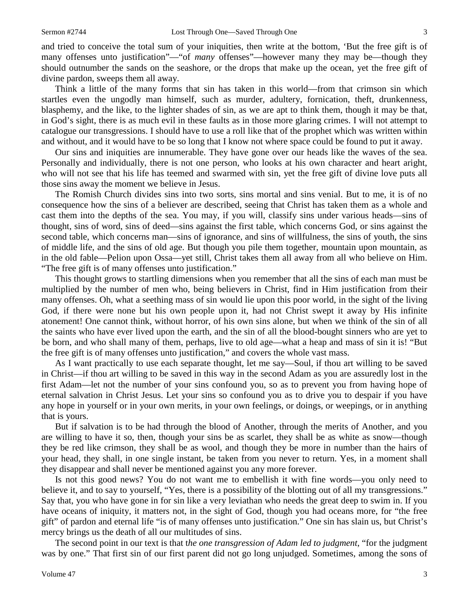and tried to conceive the total sum of your iniquities, then write at the bottom, 'But the free gift is of many offenses unto justification"—"of *many* offenses"—however many they may be—though they should outnumber the sands on the seashore, or the drops that make up the ocean, yet the free gift of divine pardon, sweeps them all away.

Think a little of the many forms that sin has taken in this world—from that crimson sin which startles even the ungodly man himself, such as murder, adultery, fornication, theft, drunkenness, blasphemy, and the like, to the lighter shades of sin, as we are apt to think them, though it may be that, in God's sight, there is as much evil in these faults as in those more glaring crimes. I will not attempt to catalogue our transgressions. I should have to use a roll like that of the prophet which was written within and without, and it would have to be so long that I know not where space could be found to put it away.

Our sins and iniquities are innumerable. They have gone over our heads like the waves of the sea. Personally and individually, there is not one person, who looks at his own character and heart aright, who will not see that his life has teemed and swarmed with sin, yet the free gift of divine love puts all those sins away the moment we believe in Jesus.

The Romish Church divides sins into two sorts, sins mortal and sins venial. But to me, it is of no consequence how the sins of a believer are described, seeing that Christ has taken them as a whole and cast them into the depths of the sea. You may, if you will, classify sins under various heads—sins of thought, sins of word, sins of deed—sins against the first table, which concerns God, or sins against the second table, which concerns man—sins of ignorance, and sins of willfulness, the sins of youth, the sins of middle life, and the sins of old age. But though you pile them together, mountain upon mountain, as in the old fable—Pelion upon Ossa—yet still, Christ takes them all away from all who believe on Him. "The free gift is of many offenses unto justification."

This thought grows to startling dimensions when you remember that all the sins of each man must be multiplied by the number of men who, being believers in Christ, find in Him justification from their many offenses. Oh, what a seething mass of sin would lie upon this poor world, in the sight of the living God, if there were none but his own people upon it, had not Christ swept it away by His infinite atonement! One cannot think, without horror, of his own sins alone, but when we think of the sin of all the saints who have ever lived upon the earth, and the sin of all the blood-bought sinners who are yet to be born, and who shall many of them, perhaps, live to old age—what a heap and mass of sin it is! "But the free gift is of many offenses unto justification," and covers the whole vast mass.

As I want practically to use each separate thought, let me say—Soul, if thou art willing to be saved in Christ—if thou art willing to be saved in this way in the second Adam as you are assuredly lost in the first Adam—let not the number of your sins confound you, so as to prevent you from having hope of eternal salvation in Christ Jesus. Let your sins so confound you as to drive you to despair if you have any hope in yourself or in your own merits, in your own feelings, or doings, or weepings, or in anything that is yours.

But if salvation is to be had through the blood of Another, through the merits of Another, and you are willing to have it so, then, though your sins be as scarlet, they shall be as white as snow—though they be red like crimson, they shall be as wool, and though they be more in number than the hairs of your head, they shall, in one single instant, be taken from you never to return. Yes, in a moment shall they disappear and shall never be mentioned against you any more forever.

Is not this good news? You do not want me to embellish it with fine words—you only need to believe it, and to say to yourself, "Yes, there is a possibility of the blotting out of all my transgressions." Say that, you who have gone in for sin like a very leviathan who needs the great deep to swim in. If you have oceans of iniquity, it matters not, in the sight of God, though you had oceans more, for "the free gift" of pardon and eternal life "is of many offenses unto justification." One sin has slain us, but Christ's mercy brings us the death of all our multitudes of sins.

The second point in our text is that t*he one transgression of Adam led to judgment*, "for the judgment was by one." That first sin of our first parent did not go long unjudged. Sometimes, among the sons of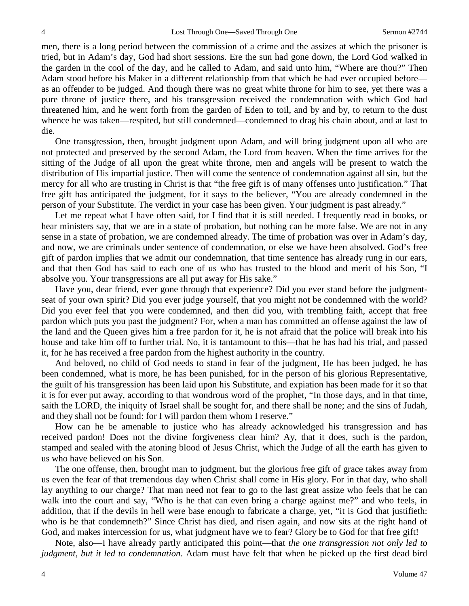men, there is a long period between the commission of a crime and the assizes at which the prisoner is tried, but in Adam's day, God had short sessions. Ere the sun had gone down, the Lord God walked in the garden in the cool of the day, and he called to Adam, and said unto him, "Where are thou?" Then Adam stood before his Maker in a different relationship from that which he had ever occupied before as an offender to be judged. And though there was no great white throne for him to see, yet there was a pure throne of justice there, and his transgression received the condemnation with which God had threatened him, and he went forth from the garden of Eden to toil, and by and by, to return to the dust whence he was taken—respited, but still condemned—condemned to drag his chain about, and at last to die.

One transgression, then, brought judgment upon Adam, and will bring judgment upon all who are not protected and preserved by the second Adam, the Lord from heaven. When the time arrives for the sitting of the Judge of all upon the great white throne, men and angels will be present to watch the distribution of His impartial justice. Then will come the sentence of condemnation against all sin, but the mercy for all who are trusting in Christ is that "the free gift is of many offenses unto justification." That free gift has anticipated the judgment, for it says to the believer, "You are already condemned in the person of your Substitute. The verdict in your case has been given. Your judgment is past already."

Let me repeat what I have often said, for I find that it is still needed. I frequently read in books, or hear ministers say, that we are in a state of probation, but nothing can be more false. We are not in any sense in a state of probation, we are condemned already. The time of probation was over in Adam's day, and now, we are criminals under sentence of condemnation, or else we have been absolved. God's free gift of pardon implies that we admit our condemnation, that time sentence has already rung in our ears, and that then God has said to each one of us who has trusted to the blood and merit of his Son, "I absolve you. Your transgressions are all put away for His sake."

Have you, dear friend, ever gone through that experience? Did you ever stand before the judgmentseat of your own spirit? Did you ever judge yourself, that you might not be condemned with the world? Did you ever feel that you were condemned, and then did you, with trembling faith, accept that free pardon which puts you past the judgment? For, when a man has committed an offense against the law of the land and the Queen gives him a free pardon for it, he is not afraid that the police will break into his house and take him off to further trial. No, it is tantamount to this—that he has had his trial, and passed it, for he has received a free pardon from the highest authority in the country.

And beloved, no child of God needs to stand in fear of the judgment, He has been judged, he has been condemned, what is more, he has been punished, for in the person of his glorious Representative, the guilt of his transgression has been laid upon his Substitute, and expiation has been made for it so that it is for ever put away, according to that wondrous word of the prophet, "In those days, and in that time, saith the LORD, the iniquity of Israel shall be sought for, and there shall be none; and the sins of Judah, and they shall not be found: for I will pardon them whom I reserve."

How can he be amenable to justice who has already acknowledged his transgression and has received pardon! Does not the divine forgiveness clear him? Ay, that it does, such is the pardon, stamped and sealed with the atoning blood of Jesus Christ, which the Judge of all the earth has given to us who have believed on his Son.

The one offense, then, brought man to judgment, but the glorious free gift of grace takes away from us even the fear of that tremendous day when Christ shall come in His glory. For in that day, who shall lay anything to our charge? That man need not fear to go to the last great assize who feels that he can walk into the court and say, "Who is he that can even bring a charge against me?" and who feels, in addition, that if the devils in hell were base enough to fabricate a charge, yet, "it is God that justifieth: who is he that condemneth?" Since Christ has died, and risen again, and now sits at the right hand of God, and makes intercession for us, what judgment have we to fear? Glory be to God for that free gift!

Note, also—I have already partly anticipated this point—that *the one transgression not only led to judgment, but it led to condemnation*. Adam must have felt that when he picked up the first dead bird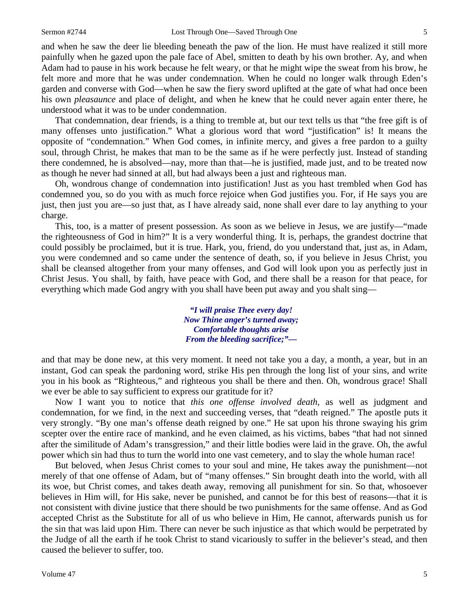and when he saw the deer lie bleeding beneath the paw of the lion. He must have realized it still more painfully when he gazed upon the pale face of Abel, smitten to death by his own brother. Ay, and when Adam had to pause in his work because he felt weary, or that he might wipe the sweat from his brow, he felt more and more that he was under condemnation. When he could no longer walk through Eden's garden and converse with God—when he saw the fiery sword uplifted at the gate of what had once been his own *pleasaunce* and place of delight, and when he knew that he could never again enter there, he understood what it was to be under condemnation.

That condemnation, dear friends, is a thing to tremble at, but our text tells us that "the free gift is of many offenses unto justification." What a glorious word that word "justification" is! It means the opposite of "condemnation." When God comes, in infinite mercy, and gives a free pardon to a guilty soul, through Christ, he makes that man to be the same as if he were perfectly just. Instead of standing there condemned, he is absolved—nay, more than that—he is justified, made just, and to be treated now as though he never had sinned at all, but had always been a just and righteous man.

Oh, wondrous change of condemnation into justification! Just as you hast trembled when God has condemned you, so do you with as much force rejoice when God justifies you. For, if He says you are just, then just you are—so just that, as I have already said, none shall ever dare to lay anything to your charge.

This, too, is a matter of present possession. As soon as we believe in Jesus, we are justify—"made the righteousness of God in him?" It is a very wonderful thing. It is, perhaps, the grandest doctrine that could possibly be proclaimed, but it is true. Hark, you, friend, do you understand that, just as, in Adam, you were condemned and so came under the sentence of death, so, if you believe in Jesus Christ, you shall be cleansed altogether from your many offenses, and God will look upon you as perfectly just in Christ Jesus. You shall, by faith, have peace with God, and there shall be a reason for that peace, for everything which made God angry with you shall have been put away and you shalt sing—

> *"I will praise Thee every day! Now Thine anger's turned away; Comfortable thoughts arise From the bleeding sacrifice;"—*

and that may be done new, at this very moment. It need not take you a day, a month, a year, but in an instant, God can speak the pardoning word, strike His pen through the long list of your sins, and write you in his book as "Righteous," and righteous you shall be there and then. Oh, wondrous grace! Shall we ever be able to say sufficient to express our gratitude for it?

Now I want you to notice that *this one offense involved death*, as well as judgment and condemnation, for we find, in the next and succeeding verses, that "death reigned." The apostle puts it very strongly. "By one man's offense death reigned by one." He sat upon his throne swaying his grim scepter over the entire race of mankind, and he even claimed, as his victims, babes "that had not sinned after the similitude of Adam's transgression," and their little bodies were laid in the grave. Oh, the awful power which sin had thus to turn the world into one vast cemetery, and to slay the whole human race!

But beloved, when Jesus Christ comes to your soul and mine, He takes away the punishment—not merely of that one offense of Adam, but of "many offenses." Sin brought death into the world, with all its woe, but Christ comes, and takes death away, removing all punishment for sin. So that, whosoever believes in Him will, for His sake, never be punished, and cannot be for this best of reasons—that it is not consistent with divine justice that there should be two punishments for the same offense. And as God accepted Christ as the Substitute for all of us who believe in Him, He cannot, afterwards punish us for the sin that was laid upon Him. There can never be such injustice as that which would be perpetrated by the Judge of all the earth if he took Christ to stand vicariously to suffer in the believer's stead, and then caused the believer to suffer, too.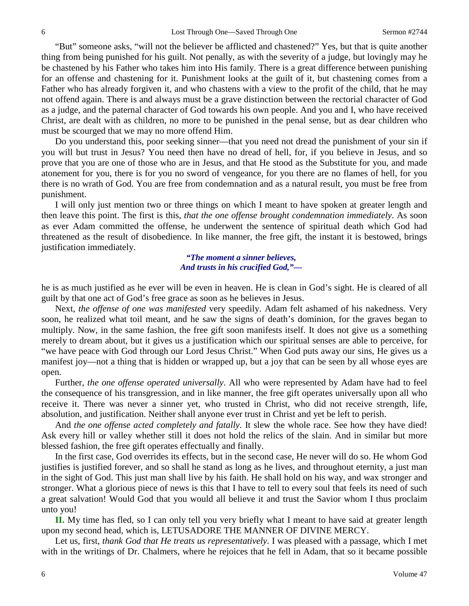"But" someone asks, "will not the believer be afflicted and chastened?" Yes, but that is quite another thing from being punished for his guilt. Not penally, as with the severity of a judge, but lovingly may he be chastened by his Father who takes him into His family. There is a great difference between punishing for an offense and chastening for it. Punishment looks at the guilt of it, but chastening comes from a Father who has already forgiven it, and who chastens with a view to the profit of the child, that he may not offend again. There is and always must be a grave distinction between the rectorial character of God as a judge, and the paternal character of God towards his own people. And you and I, who have received Christ, are dealt with as children, no more to be punished in the penal sense, but as dear children who must be scourged that we may no more offend Him.

Do you understand this, poor seeking sinner—that you need not dread the punishment of your sin if you will but trust in Jesus? You need then have no dread of hell, for, if you believe in Jesus, and so prove that you are one of those who are in Jesus, and that He stood as the Substitute for you, and made atonement for you, there is for you no sword of vengeance, for you there are no flames of hell, for you there is no wrath of God. You are free from condemnation and as a natural result, you must be free from punishment.

I will only just mention two or three things on which I meant to have spoken at greater length and then leave this point. The first is this, *that the one offense brought condemnation immediately*. As soon as ever Adam committed the offense, he underwent the sentence of spiritual death which God had threatened as the result of disobedience. In like manner, the free gift, the instant it is bestowed, brings justification immediately.

> *"The moment a sinner believes, And trusts in his crucified God,"—*

he is as much justified as he ever will be even in heaven. He is clean in God's sight. He is cleared of all guilt by that one act of God's free grace as soon as he believes in Jesus.

Next, *the offense of one was manifested* very speedily. Adam felt ashamed of his nakedness. Very soon, he realized what toil meant, and he saw the signs of death's dominion, for the graves began to multiply. Now, in the same fashion, the free gift soon manifests itself. It does not give us a something merely to dream about, but it gives us a justification which our spiritual senses are able to perceive, for "we have peace with God through our Lord Jesus Christ." When God puts away our sins, He gives us a manifest joy—not a thing that is hidden or wrapped up, but a joy that can be seen by all whose eyes are open.

Further, *the one offense operated universally*. All who were represented by Adam have had to feel the consequence of his transgression, and in like manner, the free gift operates universally upon all who receive it. There was never a sinner yet, who trusted in Christ, who did not receive strength, life, absolution, and justification. Neither shall anyone ever trust in Christ and yet be left to perish.

And *the one offense acted completely and fatally*. It slew the whole race. See how they have died! Ask every hill or valley whether still it does not hold the relics of the slain. And in similar but more blessed fashion, the free gift operates effectually and finally.

In the first case, God overrides its effects, but in the second case, He never will do so. He whom God justifies is justified forever, and so shall he stand as long as he lives, and throughout eternity, a just man in the sight of God. This just man shall live by his faith. He shall hold on his way, and wax stronger and stronger. What a glorious piece of news is this that I have to tell to every soul that feels its need of such a great salvation! Would God that you would all believe it and trust the Savior whom I thus proclaim unto you!

**II.** My time has fled, so I can only tell you very briefly what I meant to have said at greater length upon my second head, which is, LETUSADORE THE MANNER OF DIVINE MERCY.

Let us, first, *thank God that He treats us representatively*. I was pleased with a passage, which I met with in the writings of Dr. Chalmers, where he rejoices that he fell in Adam, that so it became possible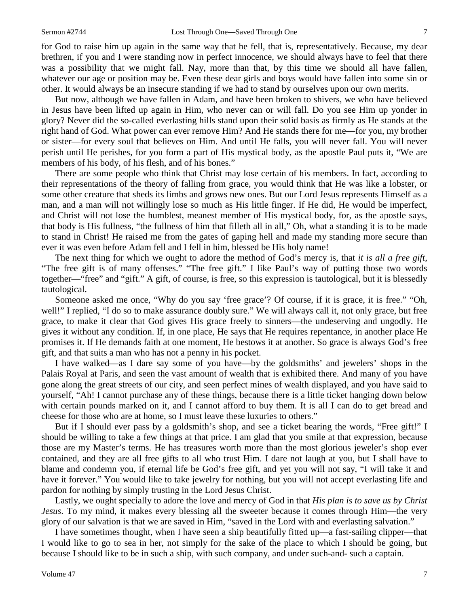for God to raise him up again in the same way that he fell, that is, representatively. Because, my dear brethren, if you and I were standing now in perfect innocence, we should always have to feel that there was a possibility that we might fall. Nay, more than that, by this time we should all have fallen, whatever our age or position may be. Even these dear girls and boys would have fallen into some sin or other. It would always be an insecure standing if we had to stand by ourselves upon our own merits.

But now, although we have fallen in Adam, and have been broken to shivers, we who have believed in Jesus have been lifted up again in Him, who never can or will fall. Do you see Him up yonder in glory? Never did the so-called everlasting hills stand upon their solid basis as firmly as He stands at the right hand of God. What power can ever remove Him? And He stands there for me—for you, my brother or sister—for every soul that believes on Him. And until He falls, you will never fall. You will never perish until He perishes, for you form a part of His mystical body, as the apostle Paul puts it, "We are members of his body, of his flesh, and of his bones."

There are some people who think that Christ may lose certain of his members. In fact, according to their representations of the theory of falling from grace, you would think that He was like a lobster, or some other creature that sheds its limbs and grows new ones. But our Lord Jesus represents Himself as a man, and a man will not willingly lose so much as His little finger. If He did, He would be imperfect, and Christ will not lose the humblest, meanest member of His mystical body, for, as the apostle says, that body is His fullness, "the fullness of him that filleth all in all," Oh, what a standing it is to be made to stand in Christ! He raised me from the gates of gaping hell and made my standing more secure than ever it was even before Adam fell and I fell in him, blessed be His holy name!

The next thing for which we ought to adore the method of God's mercy is, that *it is all a free gift*, "The free gift is of many offenses." "The free gift." I like Paul's way of putting those two words together—"free" and "gift." A gift, of course, is free, so this expression is tautological, but it is blessedly tautological.

Someone asked me once, "Why do you say 'free grace'? Of course, if it is grace, it is free." "Oh, well!" I replied, "I do so to make assurance doubly sure." We will always call it, not only grace, but free grace, to make it clear that God gives His grace freely to sinners—the undeserving and ungodly. He gives it without any condition. If, in one place, He says that He requires repentance, in another place He promises it. If He demands faith at one moment, He bestows it at another. So grace is always God's free gift, and that suits a man who has not a penny in his pocket.

I have walked—as I dare say some of you have—by the goldsmiths' and jewelers' shops in the Palais Royal at Paris, and seen the vast amount of wealth that is exhibited there. And many of you have gone along the great streets of our city, and seen perfect mines of wealth displayed, and you have said to yourself, "Ah! I cannot purchase any of these things, because there is a little ticket hanging down below with certain pounds marked on it, and I cannot afford to buy them. It is all I can do to get bread and cheese for those who are at home, so I must leave these luxuries to others."

But if I should ever pass by a goldsmith's shop, and see a ticket bearing the words, "Free gift!" I should be willing to take a few things at that price. I am glad that you smile at that expression, because those are my Master's terms. He has treasures worth more than the most glorious jeweler's shop ever contained, and they are all free gifts to all who trust Him. I dare not laugh at you, but I shall have to blame and condemn you, if eternal life be God's free gift, and yet you will not say, "I will take it and have it forever." You would like to take jewelry for nothing, but you will not accept everlasting life and pardon for nothing by simply trusting in the Lord Jesus Christ.

Lastly, we ought specially to adore the love and mercy of God in that *His plan is to save us by Christ Jesus*. To my mind, it makes every blessing all the sweeter because it comes through Him—the very glory of our salvation is that we are saved in Him, "saved in the Lord with and everlasting salvation."

I have sometimes thought, when I have seen a ship beautifully fitted up—a fast-sailing clipper—that I would like to go to sea in her, not simply for the sake of the place to which I should be going, but because I should like to be in such a ship, with such company, and under such-and- such a captain.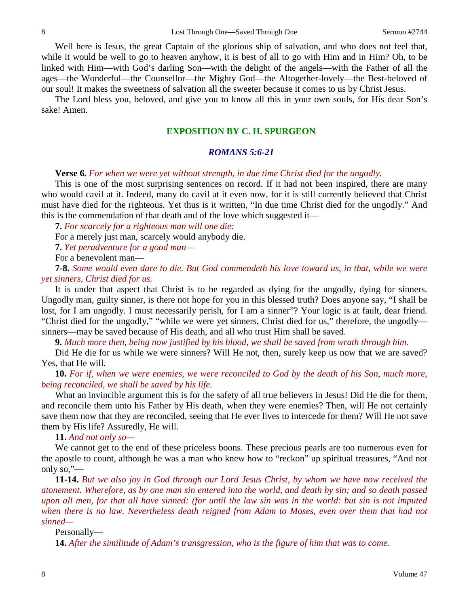Well here is Jesus, the great Captain of the glorious ship of salvation, and who does not feel that, while it would be well to go to heaven anyhow, it is best of all to go with Him and in Him? Oh, to be linked with Him—with God's darling Son—with the delight of the angels—with the Father of all the ages—the Wonderful—the Counsellor—the Mighty God—the Altogether-lovely—the Best-beloved of our soul! It makes the sweetness of salvation all the sweeter because it comes to us by Christ Jesus.

The Lord bless you, beloved, and give you to know all this in your own souls, for His dear Son's sake! Amen.

# **EXPOSITION BY C. H. SPURGEON**

### *ROMANS 5:6-21*

#### **Verse 6.** *For when we were yet without strength, in due time Christ died for the ungodly.*

This is one of the most surprising sentences on record. If it had not been inspired, there are many who would cavil at it. Indeed, many do cavil at it even now, for it is still currently believed that Christ must have died for the righteous. Yet thus is it written, "In due time Christ died for the ungodly." And this is the commendation of that death and of the love which suggested it—

**7.** *For scarcely for a righteous man will one die:* 

For a merely just man, scarcely would anybody die.

**7.** *Yet peradventure for a good man—*

For a benevolent man—

**7-8.** *Some would even dare to die. But God commendeth his love toward us, in that, while we were yet sinners, Christ died for us.*

It is under that aspect that Christ is to be regarded as dying for the ungodly, dying for sinners. Ungodly man, guilty sinner, is there not hope for you in this blessed truth? Does anyone say, "I shall be lost, for I am ungodly. I must necessarily perish, for I am a sinner"? Your logic is at fault, dear friend. "Christ died for the ungodly," "while we were yet sinners, Christ died for us," therefore, the ungodly sinners—may be saved because of His death, and all who trust Him shall be saved.

**9.** *Much more then, being now justified by his blood, we shall be saved from wrath through him.*

Did He die for us while we were sinners? Will He not, then, surely keep us now that we are saved? Yes, that He will.

**10.** *For if, when we were enemies, we were reconciled to God by the death of his Son, much more, being reconciled, we shall be saved by his life.*

What an invincible argument this is for the safety of all true believers in Jesus! Did He die for them, and reconcile them unto his Father by His death, when they were enemies? Then, will He not certainly save them now that they are reconciled, seeing that He ever lives to intercede for them? Will He not save them by His life? Assuredly, He will.

**11.** *And not only so—*

We cannot get to the end of these priceless boons. These precious pearls are too numerous even for the apostle to count, although he was a man who knew how to "reckon" up spiritual treasures, "And not only so,"—

**11-14.** *But we also joy in God through our Lord Jesus Christ, by whom we have now received the atonement. Wherefore, as by one man sin entered into the world, and death by sin; and so death passed upon all men, for that all have sinned: (for until the law sin was in the world: but sin is not imputed when there is no law. Nevertheless death reigned from Adam to Moses, even over them that had not sinned—*

#### Personally—

**14.** *After the similitude of Adam's transgression, who is the figure of him that was to come.*